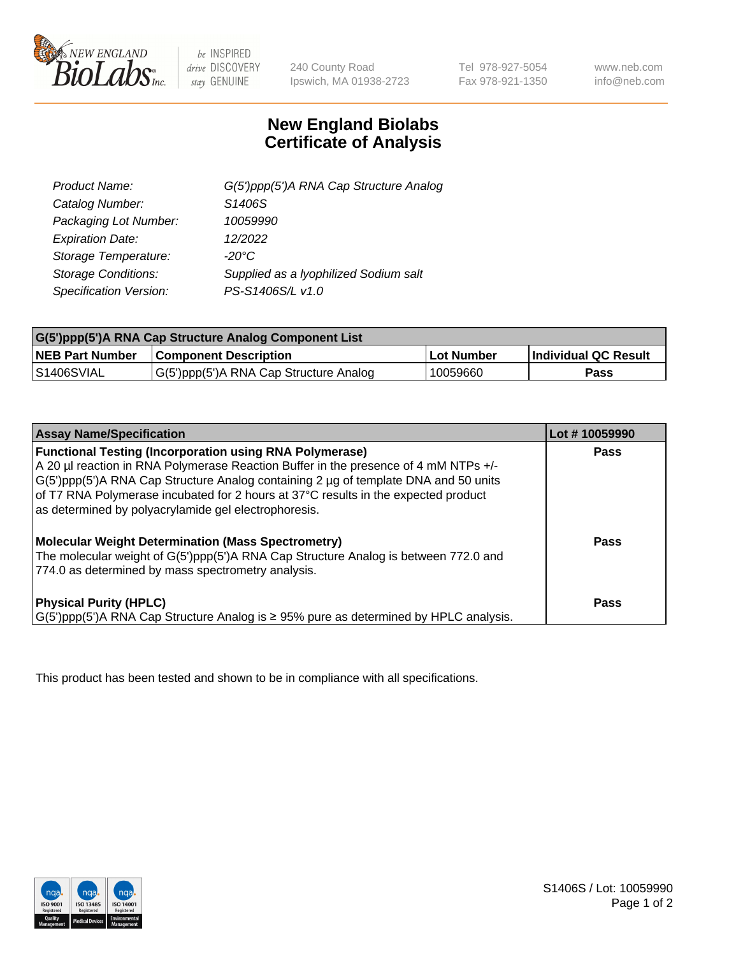

 $be$  INSPIRED drive DISCOVERY stay GENUINE

240 County Road Ipswich, MA 01938-2723 Tel 978-927-5054 Fax 978-921-1350 www.neb.com info@neb.com

## **New England Biolabs Certificate of Analysis**

| G(5')ppp(5')A RNA Cap Structure Analog |
|----------------------------------------|
| S1406S                                 |
| 10059990                               |
| 12/2022                                |
| $-20^{\circ}$ C                        |
| Supplied as a lyophilized Sodium salt  |
| PS-S1406S/L v1.0                       |
|                                        |

| G(5')ppp(5')A RNA Cap Structure Analog Component List |                                        |            |                             |  |
|-------------------------------------------------------|----------------------------------------|------------|-----------------------------|--|
| <b>NEB Part Number</b>                                | <b>Component Description</b>           | Lot Number | <b>Individual QC Result</b> |  |
| IS1406SVIAL                                           | G(5')ppp(5')A RNA Cap Structure Analog | 10059660   | Pass                        |  |

| <b>Assay Name/Specification</b>                                                                                                                                                                                                                                                                                                                                                            | Lot #10059990 |
|--------------------------------------------------------------------------------------------------------------------------------------------------------------------------------------------------------------------------------------------------------------------------------------------------------------------------------------------------------------------------------------------|---------------|
| <b>Functional Testing (Incorporation using RNA Polymerase)</b><br>A 20 µl reaction in RNA Polymerase Reaction Buffer in the presence of 4 mM NTPs +/-<br>G(5')ppp(5')A RNA Cap Structure Analog containing 2 µg of template DNA and 50 units<br>of T7 RNA Polymerase incubated for 2 hours at 37°C results in the expected product<br>as determined by polyacrylamide gel electrophoresis. | Pass          |
| <b>Molecular Weight Determination (Mass Spectrometry)</b><br>The molecular weight of G(5')ppp(5')A RNA Cap Structure Analog is between 772.0 and<br>774.0 as determined by mass spectrometry analysis.                                                                                                                                                                                     | Pass          |
| <b>Physical Purity (HPLC)</b><br>$ G(5')ppp(5')$ A RNA Cap Structure Analog is $\geq 95\%$ pure as determined by HPLC analysis.                                                                                                                                                                                                                                                            | Pass          |

This product has been tested and shown to be in compliance with all specifications.